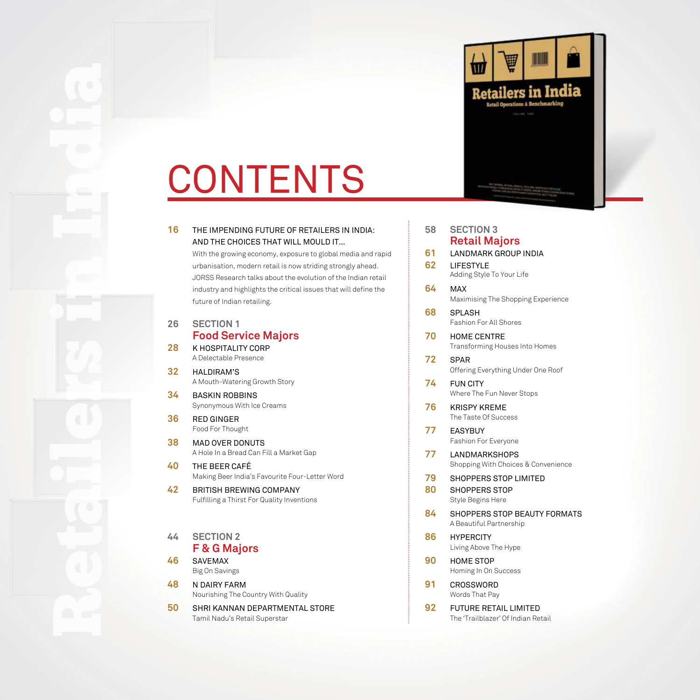

# CONTENTS

## And The Choices That Will Mould It…

**EXECUTE THE INFERIOR FUNDER DEFINITION**<br> **16** THE IMPENDING FUTURE OF RETAILERS IN INDIA:<br>
with an general value of Property and AND THE CHOICES THAT WILL MOULD IT...<br>
which general value of the Impediate Control is a pro With the growing economy, exposure to global media and rapid urbanisation, modern retail is now striding strongly ahead. JORSS Research talks about the evolution of the Indian retail industry and highlights the critical issues that will define the future of Indian retailing.

#### **26 SECTION 1 Food Service Majors**

**28** K Hospitality Corp A Delectable Presence

- **32** Haldiram's A Mouth-Watering Growth Story
- **34** Baskin Robbins Synonymous With Ice Creams
- **36** Red Ginger Food For Thought
- **38** Mad Over Donuts A Hole In a Bread Can Fill a Market Gap
- **40** The Beer Café Making Beer India's Favourite Four-Letter Word
- **42** British Brewing Company Fulfilling a Thirst For Quality Inventions

#### **44 SECTION 2 F & G Majors**

- **46** Savemax Big On Savings
- **48** N Dairy Farm Nourishing The Country With Quality
- **50** Shri Kannan Departmental Store Tamil Nadu's Retail Superstar

| 58 | <b>SECTION 3</b><br><b>Retail Majors</b>                    |
|----|-------------------------------------------------------------|
| 61 | <b>LANDMARK GROUP INDIA</b>                                 |
| 62 | LIFESTYLE<br>Adding Style To Your Life                      |
| 64 | MAX<br>Maximising The Shopping Experience                   |
| 68 | SPLASH<br>Fashion For All Shores                            |
| 70 | <b>HOME CENTRE</b><br><b>Transforming Houses Into Homes</b> |
| 72 | SPAR<br>Offering Everything Under One Roof                  |
| 74 | <b>FUN CITY</b><br>Where The Fun Never Stops                |
| 76 | <b>KRISPY KREME</b><br>The Taste Of Success                 |
| 77 | <b>EASYBUY</b><br>Fashion For Everyone                      |
| 77 | LANDMARKSHOPS<br>Shopping With Choices & Convenience        |
| 79 | <b>SHOPPERS STOP LIMITED</b>                                |
| 80 | <b>SHOPPERS STOP</b><br>Style Begins Here                   |
| 84 | SHOPPERS STOP BEAUTY FORMATS<br>A Beautiful Partnership     |
| 86 | <b>HYPERCITY</b><br>Living Above The Hype                   |
| 90 | HOME STOP<br>Homing In On Success                           |
| 91 | CROSSWORD<br>Words That Pay                                 |

**92** Future Retail Limited The 'Trailblazer' Of Indian Retail